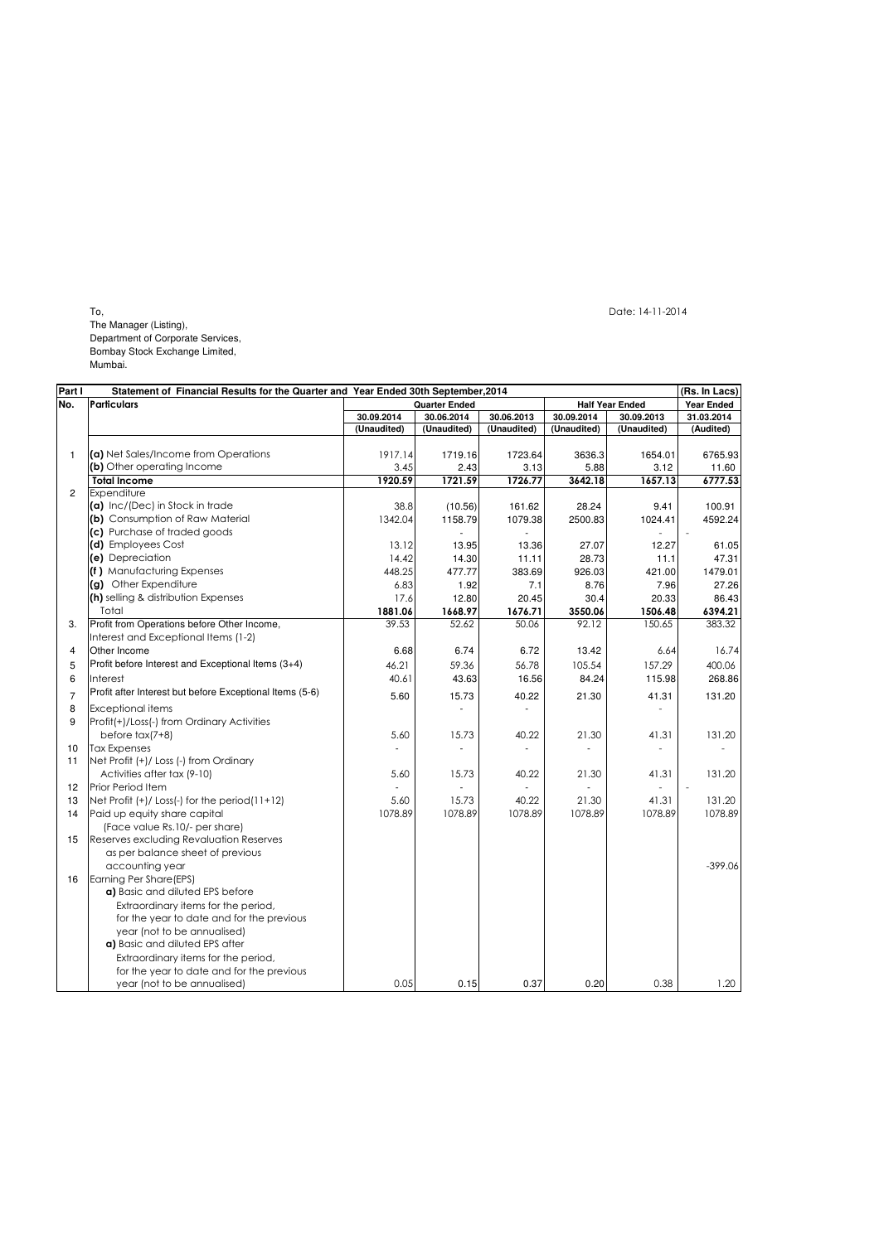To, Date: 14-11-2014

The Manager (Listing),

Department of Corporate Services, Bombay Stock Exchange Limited,

Mumbai.

| Part I         |                                                                                                                 | Statement of Financial Results for the Quarter and Year Ended 30th September, 2014 |                      |              |             | (Rs. In Lacs)<br><b>Year Ended</b> |            |  |
|----------------|-----------------------------------------------------------------------------------------------------------------|------------------------------------------------------------------------------------|----------------------|--------------|-------------|------------------------------------|------------|--|
|                | Particulars                                                                                                     |                                                                                    | <b>Quarter Ended</b> |              |             | <b>Half Year Ended</b>             |            |  |
|                |                                                                                                                 | 30.09.2014                                                                         | 30.06.2014           | 30.06.2013   | 30.09.2014  | 30.09.2013                         | 31.03.2014 |  |
|                |                                                                                                                 | (Unaudited)                                                                        | (Unaudited)          | (Unaudited)  | (Unaudited) | (Unaudited)                        | (Audited)  |  |
|                |                                                                                                                 |                                                                                    |                      |              |             |                                    |            |  |
|                | (a) Net Sales/Income from Operations                                                                            | 1917.14                                                                            | 1719.16              | 1723.64      | 3636.3      | 1654.01                            | 6765.93    |  |
|                | (b) Other operating Income                                                                                      | 3.45                                                                               | 2.43                 | 3.13         | 5.88        | 3.12                               | 11.60      |  |
|                | <b>Total Income</b>                                                                                             | 1920.59                                                                            | 1721.59              | 1726.77      | 3642.18     | 1657.13                            | 6777.53    |  |
| $\overline{2}$ | Expenditure                                                                                                     |                                                                                    |                      |              |             |                                    |            |  |
|                | (a) Inc/(Dec) in Stock in trade                                                                                 | 38.8                                                                               | (10.56)              | 161.62       | 28.24       | 9.41                               | 100.91     |  |
|                | (b) Consumption of Raw Material                                                                                 | 1342.04                                                                            | 1158.79              | 1079.38      | 2500.83     | 1024.41                            | 4592.24    |  |
|                | (c) Purchase of traded goods                                                                                    |                                                                                    |                      |              |             |                                    |            |  |
|                | (d) Employees Cost                                                                                              | 13.12                                                                              | 13.95                | 13.36        | 27.07       | 12.27                              | 61.05      |  |
|                | (e) Depreciation                                                                                                | 14.42                                                                              | 14.30                | 11.11        | 28.73       | 11.1                               | 47.31      |  |
|                | (f) Manufacturing Expenses                                                                                      | 448.25                                                                             | 477.77               | 383.69       | 926.03      | 421.00                             | 1479.01    |  |
|                | (g) Other Expenditure                                                                                           | 6.83                                                                               | 1.92                 | 7.1          | 8.76        | 7.96                               | 27.26      |  |
|                | (h) selling & distribution Expenses                                                                             | 17.6                                                                               | 12.80                | 20.45        | 30.4        | 20.33                              | 86.43      |  |
|                | Total                                                                                                           | 1881.06                                                                            | 1668.97              | 1676.71      | 3550.06     | 1506.48                            | 6394.21    |  |
| 3.             | Profit from Operations before Other Income,                                                                     | 39.53                                                                              | 52.62                | 50.06        | 92.12       | 150.65                             | 383.32     |  |
|                | Interest and Exceptional Items (1-2)                                                                            |                                                                                    |                      |              |             |                                    |            |  |
|                | Other Income                                                                                                    | 6.68                                                                               | 6.74                 | 6.72         | 13.42       | 6.64                               | 16.74      |  |
|                | Profit before Interest and Exceptional Items (3+4)                                                              | 46.21                                                                              | 59.36                | 56.78        | 105.54      | 157.29                             | 400.06     |  |
|                | Interest                                                                                                        | 40.61                                                                              | 43.63                | 16.56        | 84.24       | 115.98                             | 268.86     |  |
|                | Profit after Interest but before Exceptional Items (5-6)                                                        |                                                                                    |                      |              |             |                                    |            |  |
|                |                                                                                                                 | 5.60                                                                               | 15.73                | 40.22        | 21.30       | 41.31                              | 131.20     |  |
| 8              | <b>Exceptional items</b>                                                                                        |                                                                                    |                      |              |             |                                    |            |  |
| 9              | Profit(+)/Loss(-) from Ordinary Activities                                                                      |                                                                                    |                      |              |             |                                    |            |  |
|                | before $tax(7+8)$                                                                                               | 5.60                                                                               | 15.73                | 40.22        | 21.30       | 41.31                              | 131.20     |  |
| 10             | <b>Tax Expenses</b>                                                                                             |                                                                                    |                      |              |             |                                    |            |  |
| 11             | Net Profit (+)/ Loss (-) from Ordinary                                                                          |                                                                                    |                      |              |             |                                    |            |  |
|                | Activities after tax (9-10)                                                                                     | 5.60                                                                               | 15.73                | 40.22        | 21.30       | 41.31                              | 131.20     |  |
| 12             | <b>Prior Period Item</b>                                                                                        |                                                                                    |                      |              |             |                                    |            |  |
| 13             | Net Profit $(+)/$ Loss(-) for the period(11+12)                                                                 | 5.60                                                                               | 15.73                | 40.22        | 21.30       | 41.31                              | 131.20     |  |
| 14             | Paid up equity share capital                                                                                    | 1078.89                                                                            | 1078.89              | 1078.89      | 1078.89     | 1078.89                            | 1078.89    |  |
|                | (Face value Rs.10/- per share)                                                                                  |                                                                                    |                      |              |             |                                    |            |  |
| 15             | Reserves excluding Revaluation Reserves                                                                         |                                                                                    |                      |              |             |                                    |            |  |
|                | as per balance sheet of previous                                                                                |                                                                                    |                      |              |             |                                    |            |  |
|                | accounting year                                                                                                 |                                                                                    |                      |              |             |                                    | $-399.06$  |  |
| 16             | Earning Per Share (EPS)                                                                                         |                                                                                    |                      |              |             |                                    |            |  |
|                | a) Basic and diluted EPS before                                                                                 |                                                                                    |                      |              |             |                                    |            |  |
|                | Extraordinary items for the period,                                                                             |                                                                                    |                      |              |             |                                    |            |  |
|                | for the year to date and for the previous                                                                       |                                                                                    |                      |              |             |                                    |            |  |
|                | year (not to be annualised)                                                                                     |                                                                                    |                      |              |             |                                    |            |  |
|                | a) Basic and diluted EPS after                                                                                  |                                                                                    |                      |              |             |                                    |            |  |
|                |                                                                                                                 |                                                                                    |                      |              |             |                                    |            |  |
|                |                                                                                                                 |                                                                                    |                      |              |             |                                    |            |  |
|                |                                                                                                                 |                                                                                    |                      |              |             |                                    | 1.20       |  |
|                | Extraordinary items for the period,<br>for the year to date and for the previous<br>year (not to be annualised) |                                                                                    |                      | 0.05<br>0.15 |             | 0.37<br>0.20                       | 0.38       |  |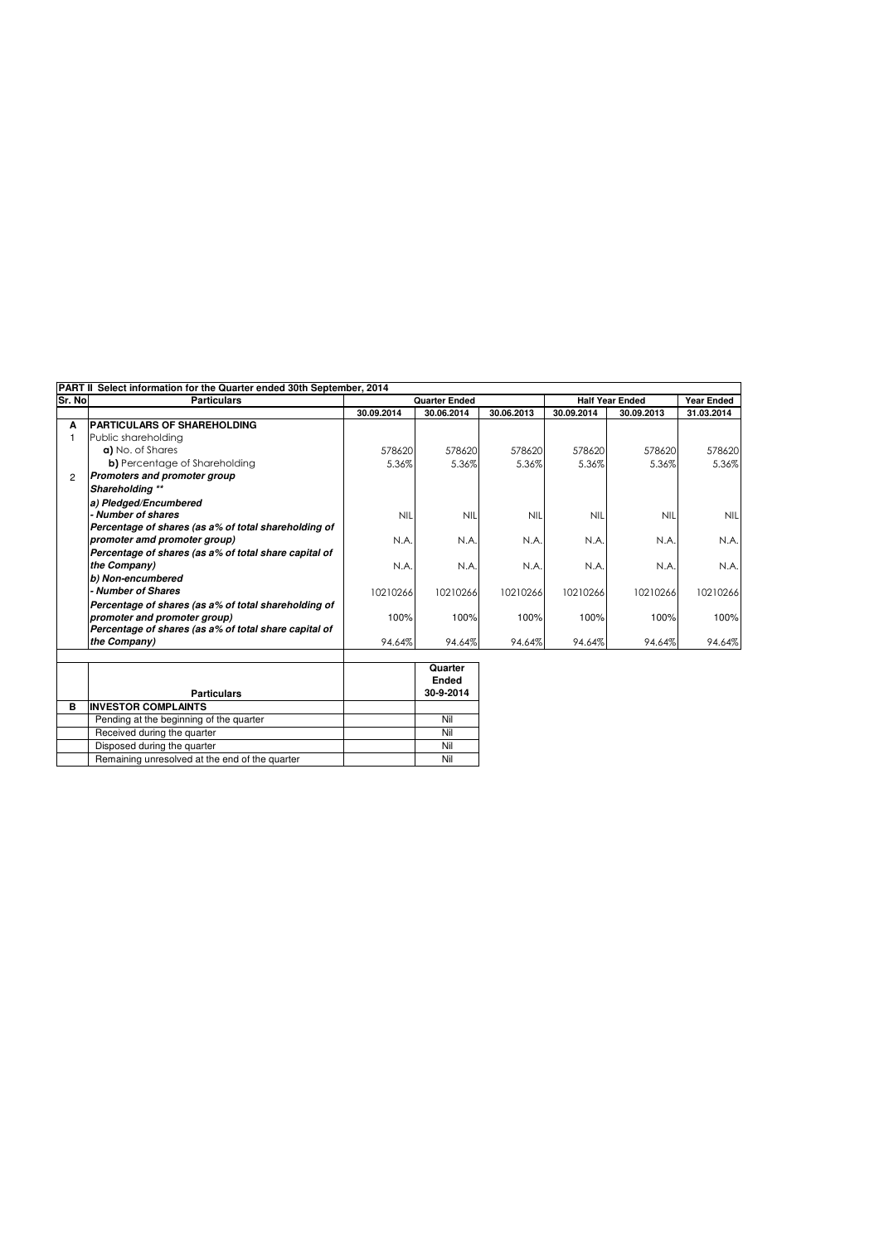Pending at the beginning of the quarter Nil Received during the quarter Nil Disposed during the quarter Nil<br>
Remaining unresolved at the end of the quarter Nil<br>
Nil

Remaining unresolved at the end of the quarter

|                | PART II Select information for the Quarter ended 30th September, 2014 |                      |              |            |                        |                   |            |  |  |
|----------------|-----------------------------------------------------------------------|----------------------|--------------|------------|------------------------|-------------------|------------|--|--|
| Sr. No         | <b>Particulars</b>                                                    | <b>Quarter Ended</b> |              |            | <b>Half Year Ended</b> | <b>Year Ended</b> |            |  |  |
|                |                                                                       | 30.09.2014           | 30.06.2014   | 30.06.2013 | 30.09.2014             | 30.09.2013        | 31.03.2014 |  |  |
| A              | <b>PARTICULARS OF SHAREHOLDING</b>                                    |                      |              |            |                        |                   |            |  |  |
|                | Public shareholding                                                   |                      |              |            |                        |                   |            |  |  |
|                | a) No. of Shares                                                      | 578620               | 578620       | 578620     | 578620                 | 578620            | 578620     |  |  |
|                | b) Percentage of Shareholding                                         | 5.36%                | 5.36%        | 5.36%      | 5.36%                  | 5.36%             | 5.36%      |  |  |
| $\overline{2}$ | <b>Promoters and promoter group</b>                                   |                      |              |            |                        |                   |            |  |  |
|                | Shareholding **                                                       |                      |              |            |                        |                   |            |  |  |
|                | a) Pledged/Encumbered                                                 |                      |              |            |                        |                   |            |  |  |
|                | - Number of shares                                                    | <b>NIL</b>           | <b>NIL</b>   | <b>NIL</b> | <b>NIL</b>             | <b>NIL</b>        | <b>NIL</b> |  |  |
|                | Percentage of shares (as a% of total shareholding of                  |                      |              |            |                        |                   |            |  |  |
|                | promoter amd promoter group)                                          | N.A.                 | N.A.         | N.A.       | N.A.                   | N.A.              | N.A.       |  |  |
|                | Percentage of shares (as a% of total share capital of                 |                      |              |            |                        |                   |            |  |  |
|                | the Company)                                                          | N.A.                 | N.A.         | N.A.       | N.A.                   | N.A.              | N.A.       |  |  |
|                | b) Non-encumbered                                                     |                      |              |            |                        |                   |            |  |  |
|                | - Number of Shares                                                    | 10210266             | 10210266     | 10210266   | 10210266               | 10210266          | 10210266   |  |  |
|                | Percentage of shares (as a% of total shareholding of                  |                      |              |            |                        |                   |            |  |  |
|                | promoter and promoter group)                                          | 100%                 | 100%         | 100%       | 100%                   | 100%              | 100%       |  |  |
|                | Percentage of shares (as a% of total share capital of                 |                      |              |            |                        |                   |            |  |  |
|                | the Company)                                                          | 94.64%               | 94.64%       | 94.64%     | 94.64%                 | 94.64%            | 94.64%     |  |  |
|                |                                                                       |                      |              |            |                        |                   |            |  |  |
|                |                                                                       |                      | Quarter      |            |                        |                   |            |  |  |
|                |                                                                       |                      | <b>Ended</b> |            |                        |                   |            |  |  |
|                | <b>Particulars</b>                                                    |                      | 30-9-2014    |            |                        |                   |            |  |  |
| В              | <b>INVESTOR COMPLAINTS</b>                                            |                      |              |            |                        |                   |            |  |  |